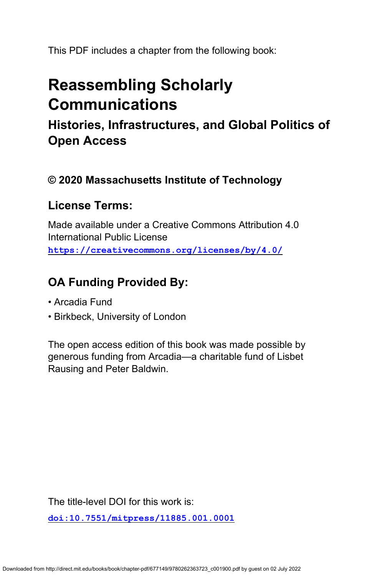This PDF includes a chapter from the following book:

# **Reassembling Scholarly Communications**

**Histories, Infrastructures, and Global Politics of Open Access**

### **© 2020 Massachusetts Institute of Technology**

### **License Terms:**

Made available under a Creative Commons Attribution 4.0 International Public License **<https://creativecommons.org/licenses/by/4.0/>**

## **OA Funding Provided By:**

- Arcadia Fund
- Birkbeck, University of London

The open access edition of this book was made possible by generous funding from Arcadia—a charitable fund of Lisbet Rausing and Peter Baldwin.

The title-level DOI for this work is:

**[doi:10.7551/mitpress/11885.001.0001](https://doi.org/10.7551/mitpress/11885.001.0001)**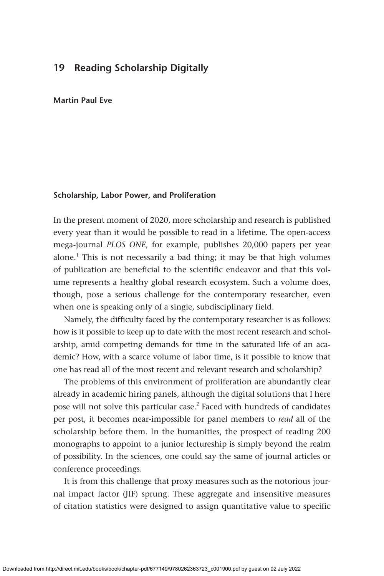### **19 Reading Scholarship Digitally**

**Martin Paul Eve**

#### **Scholarship, Labor Power, and Proliferation**

In the present moment of 2020, more scholarship and research is published every year than it would be possible to read in a lifetime. The open-access mega-journal *PLOS ONE*, for example, publishes 20,000 papers per year alone.<sup>1</sup> This is not necessarily a bad thing; it may be that high volumes of publication are beneficial to the scientific endeavor and that this volume represents a healthy global research ecosystem. Such a volume does, though, pose a serious challenge for the contemporary researcher, even when one is speaking only of a single, subdisciplinary field.

Namely, the difficulty faced by the contemporary researcher is as follows: how is it possible to keep up to date with the most recent research and scholarship, amid competing demands for time in the saturated life of an academic? How, with a scarce volume of labor time, is it possible to know that one has read all of the most recent and relevant research and scholarship?

The problems of this environment of proliferation are abundantly clear already in academic hiring panels, although the digital solutions that I here pose will not solve this particular case.<sup>2</sup> Faced with hundreds of candidates per post, it becomes near-impossible for panel members to *read* all of the scholarship before them. In the humanities, the prospect of reading 200 monographs to appoint to a junior lectureship is simply beyond the realm of possibility. In the sciences, one could say the same of journal articles or conference proceedings.

It is from this challenge that proxy measures such as the notorious journal impact factor (JIF) sprung. These aggregate and insensitive measures of citation statistics were designed to assign quantitative value to specific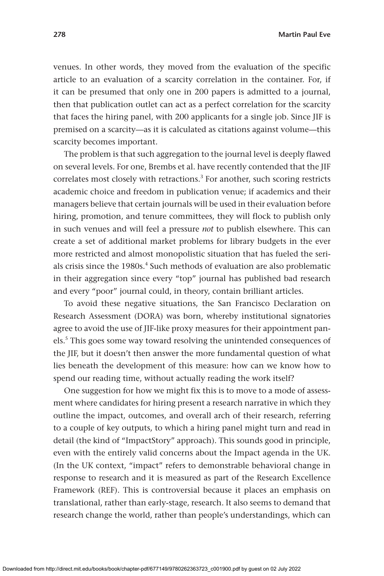**278 Martin Paul Eve**

venues. In other words, they moved from the evaluation of the specific article to an evaluation of a scarcity correlation in the container. For, if it can be presumed that only one in 200 papers is admitted to a journal, then that publication outlet can act as a perfect correlation for the scarcity that faces the hiring panel, with 200 applicants for a single job. Since JIF is premised on a scarcity—as it is calculated as citations against volume—this scarcity becomes important.

The problem is that such aggregation to the journal level is deeply flawed on several levels. For one, Brembs et al. have recently contended that the JIF correlates most closely with retractions. $3$  For another, such scoring restricts academic choice and freedom in publication venue; if academics and their managers believe that certain journals will be used in their evaluation before hiring, promotion, and tenure committees, they will flock to publish only in such venues and will feel a pressure *not* to publish elsewhere. This can create a set of additional market problems for library budgets in the ever more restricted and almost monopolistic situation that has fueled the serials crisis since the 1980s.<sup>4</sup> Such methods of evaluation are also problematic in their aggregation since every "top" journal has published bad research and every "poor" journal could, in theory, contain brilliant articles.

To avoid these negative situations, the San Francisco Declaration on Research Assessment (DORA) was born, whereby institutional signatories agree to avoid the use of JIF-like proxy measures for their appointment panels.<sup>5</sup> This goes some way toward resolving the unintended consequences of the JIF, but it doesn't then answer the more fundamental question of what lies beneath the development of this measure: how can we know how to spend our reading time, without actually reading the work itself?

One suggestion for how we might fix this is to move to a mode of assessment where candidates for hiring present a research narrative in which they outline the impact, outcomes, and overall arch of their research, referring to a couple of key outputs, to which a hiring panel might turn and read in detail (the kind of "ImpactStory" approach). This sounds good in principle, even with the entirely valid concerns about the Impact agenda in the UK. (In the UK context, "impact" refers to demonstrable behavioral change in response to research and it is measured as part of the Research Excellence Framework (REF). This is controversial because it places an emphasis on translational, rather than early-stage, research. It also seems to demand that research change the world, rather than people's understandings, which can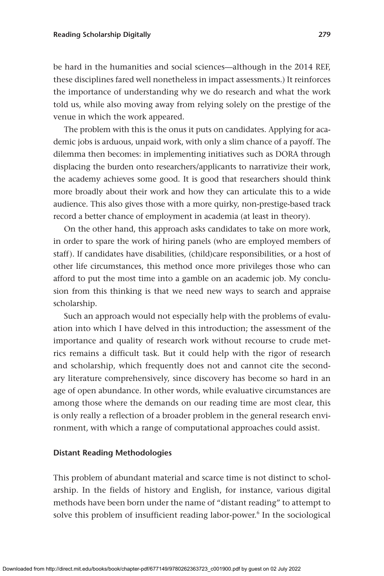be hard in the humanities and social sciences—although in the 2014 REF, these disciplines fared well nonetheless in impact assessments.) It reinforces the importance of understanding why we do research and what the work told us, while also moving away from relying solely on the prestige of the venue in which the work appeared.

The problem with this is the onus it puts on candidates. Applying for academic jobs is arduous, unpaid work, with only a slim chance of a payoff. The dilemma then becomes: in implementing initiatives such as DORA through displacing the burden onto researchers/applicants to narrativize their work, the academy achieves some good. It is good that researchers should think more broadly about their work and how they can articulate this to a wide audience. This also gives those with a more quirky, non-prestige-based track record a better chance of employment in academia (at least in theory).

On the other hand, this approach asks candidates to take on more work, in order to spare the work of hiring panels (who are employed members of staff). If candidates have disabilities, (child)care responsibilities, or a host of other life circumstances, this method once more privileges those who can afford to put the most time into a gamble on an academic job. My conclusion from this thinking is that we need new ways to search and appraise scholarship.

Such an approach would not especially help with the problems of evaluation into which I have delved in this introduction; the assessment of the importance and quality of research work without recourse to crude metrics remains a difficult task. But it could help with the rigor of research and scholarship, which frequently does not and cannot cite the secondary literature comprehensively, since discovery has become so hard in an age of open abundance. In other words, while evaluative circumstances are among those where the demands on our reading time are most clear, this is only really a reflection of a broader problem in the general research environment, with which a range of computational approaches could assist.

#### **Distant Reading Methodologies**

This problem of abundant material and scarce time is not distinct to scholarship. In the fields of history and English, for instance, various digital methods have been born under the name of "distant reading" to attempt to solve this problem of insufficient reading labor-power.<sup>6</sup> In the sociological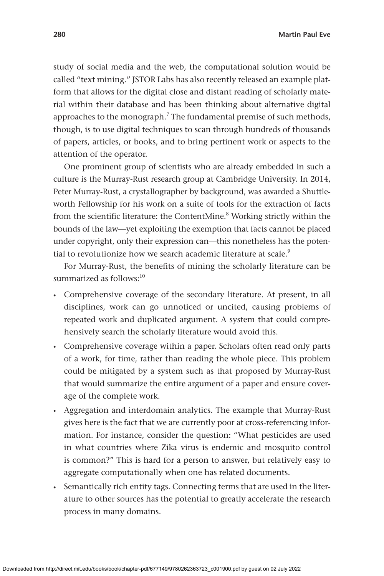**280 Martin Paul Eve**

study of social media and the web, the computational solution would be called "text mining." JSTOR Labs has also recently released an example platform that allows for the digital close and distant reading of scholarly material within their database and has been thinking about alternative digital approaches to the monograph.<sup>7</sup> The fundamental premise of such methods, though, is to use digital techniques to scan through hundreds of thousands of papers, articles, or books, and to bring pertinent work or aspects to the attention of the operator.

One prominent group of scientists who are already embedded in such a culture is the Murray-Rust research group at Cambridge University. In 2014, Peter Murray-Rust, a crystallographer by background, was awarded a Shuttleworth Fellowship for his work on a suite of tools for the extraction of facts from the scientific literature: the ContentMine.<sup>8</sup> Working strictly within the bounds of the law—yet exploiting the exemption that facts cannot be placed under copyright, only their expression can—this nonetheless has the potential to revolutionize how we search academic literature at scale.<sup>9</sup>

For Murray-Rust, the benefits of mining the scholarly literature can be summarized as follows:<sup>10</sup>

- Comprehensive coverage of the secondary literature. At present, in all disciplines, work can go unnoticed or uncited, causing problems of repeated work and duplicated argument. A system that could comprehensively search the scholarly literature would avoid this.
- Comprehensive coverage within a paper. Scholars often read only parts of a work, for time, rather than reading the whole piece. This problem could be mitigated by a system such as that proposed by Murray-Rust that would summarize the entire argument of a paper and ensure coverage of the complete work.
- Aggregation and interdomain analytics. The example that Murray-Rust gives here is the fact that we are currently poor at cross-referencing information. For instance, consider the question: "What pesticides are used in what countries where Zika virus is endemic and mosquito control is common?" This is hard for a person to answer, but relatively easy to aggregate computationally when one has related documents.
- Semantically rich entity tags. Connecting terms that are used in the literature to other sources has the potential to greatly accelerate the research process in many domains.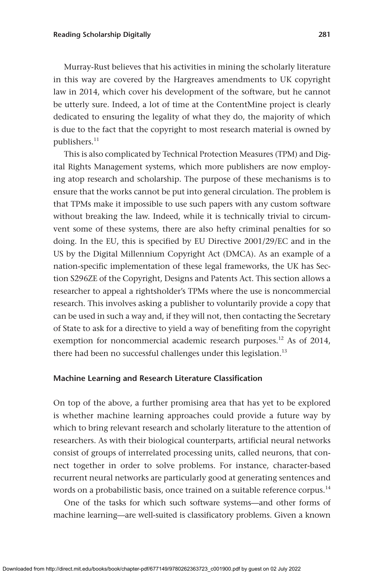Murray-Rust believes that his activities in mining the scholarly literature in this way are covered by the Hargreaves amendments to UK copyright law in 2014, which cover his development of the software, but he cannot be utterly sure. Indeed, a lot of time at the ContentMine project is clearly dedicated to ensuring the legality of what they do, the majority of which is due to the fact that the copyright to most research material is owned by publishers.<sup>11</sup>

This is also complicated by Technical Protection Measures (TPM) and Digital Rights Management systems, which more publishers are now employing atop research and scholarship. The purpose of these mechanisms is to ensure that the works cannot be put into general circulation. The problem is that TPMs make it impossible to use such papers with any custom software without breaking the law. Indeed, while it is technically trivial to circumvent some of these systems, there are also hefty criminal penalties for so doing. In the EU, this is specified by EU Directive 2001/29/EC and in the US by the Digital Millennium Copyright Act (DMCA). As an example of a nation-specific implementation of these legal frameworks, the UK has Section S296ZE of the Copyright, Designs and Patents Act. This section allows a researcher to appeal a rightsholder's TPMs where the use is noncommercial research. This involves asking a publisher to voluntarily provide a copy that can be used in such a way and, if they will not, then contacting the Secretary of State to ask for a directive to yield a way of benefiting from the copyright exemption for noncommercial academic research purposes.<sup>12</sup> As of 2014, there had been no successful challenges under this legislation.<sup>13</sup>

#### **Machine Learning and Research Literature Classification**

On top of the above, a further promising area that has yet to be explored is whether machine learning approaches could provide a future way by which to bring relevant research and scholarly literature to the attention of researchers. As with their biological counterparts, artificial neural networks consist of groups of interrelated processing units, called neurons, that connect together in order to solve problems. For instance, character-based recurrent neural networks are particularly good at generating sentences and words on a probabilistic basis, once trained on a suitable reference corpus.<sup>14</sup>

One of the tasks for which such software systems—and other forms of machine learning—are well-suited is classificatory problems. Given a known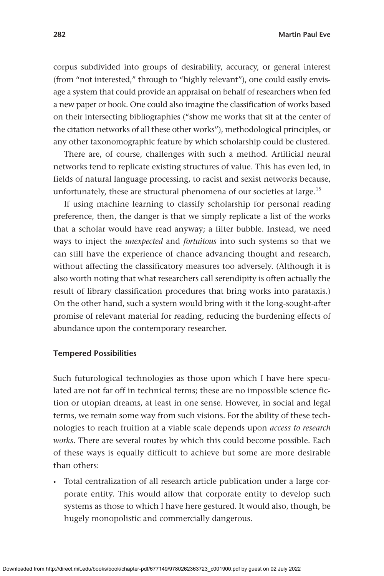corpus subdivided into groups of desirability, accuracy, or general interest (from "not interested," through to "highly relevant"), one could easily envisage a system that could provide an appraisal on behalf of researchers when fed a new paper or book. One could also imagine the classification of works based on their intersecting bibliographies ("show me works that sit at the center of the citation networks of all these other works"), methodological principles, or any other taxonomographic feature by which scholarship could be clustered.

There are, of course, challenges with such a method. Artificial neural networks tend to replicate existing structures of value. This has even led, in fields of natural language processing, to racist and sexist networks because, unfortunately, these are structural phenomena of our societies at large.<sup>15</sup>

If using machine learning to classify scholarship for personal reading preference, then, the danger is that we simply replicate a list of the works that a scholar would have read anyway; a filter bubble. Instead, we need ways to inject the *unexpected* and *fortuitous* into such systems so that we can still have the experience of chance advancing thought and research, without affecting the classificatory measures too adversely. (Although it is also worth noting that what researchers call serendipity is often actually the result of library classification procedures that bring works into parataxis.) On the other hand, such a system would bring with it the long-sought-after promise of relevant material for reading, reducing the burdening effects of abundance upon the contemporary researcher.

#### **Tempered Possibilities**

Such futurological technologies as those upon which I have here speculated are not far off in technical terms; these are no impossible science fiction or utopian dreams, at least in one sense. However, in social and legal terms, we remain some way from such visions. For the ability of these technologies to reach fruition at a viable scale depends upon *access to research works*. There are several routes by which this could become possible. Each of these ways is equally difficult to achieve but some are more desirable than others:

• Total centralization of all research article publication under a large corporate entity. This would allow that corporate entity to develop such systems as those to which I have here gestured. It would also, though, be hugely monopolistic and commercially dangerous.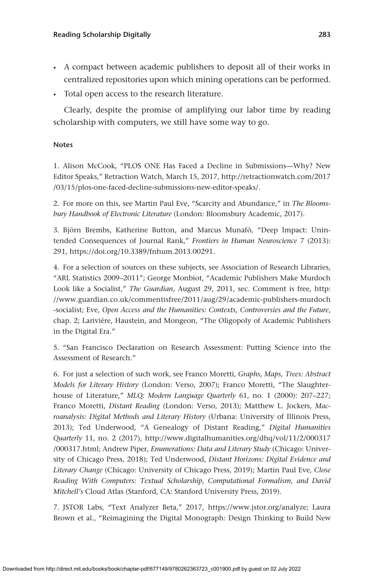- A compact between academic publishers to deposit all of their works in centralized repositories upon which mining operations can be performed.
- Total open access to the research literature.

Clearly, despite the promise of amplifying our labor time by reading scholarship with computers, we still have some way to go.

#### **Notes**

1. Alison McCook, "PLOS ONE Has Faced a Decline in Submissions—Why? New Editor Speaks," Retraction Watch, March 15, 2017, [http://retractionwatch.com/2017](http://retractionwatch.com/2017/03/15/plos-one-faced-decline-submissions-new-editor-speaks/) [/03/15/plos-one-faced-decline-submissions-new-editor-speaks/.](http://retractionwatch.com/2017/03/15/plos-one-faced-decline-submissions-new-editor-speaks/)

2. For more on this, see Martin Paul Eve, "Scarcity and Abundance," in *The Bloomsbury Handbook of Electronic Literature* (London: Bloomsbury Academic, 2017).

3. Björn Brembs, Katherine Button, and Marcus Munafò, "Deep Impact: Unintended Consequences of Journal Rank," *Frontiers in Human Neuroscience* 7 (2013): 291, [https://doi.org/10.3389/fnhum.2013.00291.](https://doi.org/10.3389/fnhum.2013.00291)

4. For a selection of sources on these subjects, see Association of Research Libraries, "ARL Statistics 2009–2011"; George Monbiot, "Academic Publishers Make Murdoch Look like a Socialist," *The Guardian*, August 29, 2011, sec. Comment is free, [http:](http://www.guardian.co.uk/commentisfree/2011/aug/29/academic-publishers-murdoch-socialist) [//www.guardian.co.uk/commentisfree/2011/aug/29/academic-publishers-murdoch](http://www.guardian.co.uk/commentisfree/2011/aug/29/academic-publishers-murdoch-socialist) [-socialist](http://www.guardian.co.uk/commentisfree/2011/aug/29/academic-publishers-murdoch-socialist); Eve, *Open Access and the Humanities: Contexts, Controversies and the Future*, chap. 2; Larivière, Haustein, and Mongeon, "The Oligopoly of Academic Publishers in the Digital Era."

5. "San Francisco Declaration on Research Assessment: Putting Science into the Assessment of Research."

6. For just a selection of such work, see Franco Moretti, *Graphs, Maps, Trees: Abstract Models for Literary History* (London: Verso, 2007); Franco Moretti, "The Slaughterhouse of Literature," *MLQ: Modern Language Quarterly* 61, no. 1 (2000): 207–227; Franco Moretti, *Distant Reading* (London: Verso, 2013); Matthew L. Jockers, *Macroanalysis: Digital Methods and Literary History* (Urbana: University of Illinois Press, 2013); Ted Underwood, "A Genealogy of Distant Reading," *Digital Humanities Quarterly* 11, no. 2 (2017), [http://www.digitalhumanities.org/dhq/vol/11/2/000317](http://www.digitalhumanities.org/dhq/vol/11/2/000317/000317.html) [/000317.html](http://www.digitalhumanities.org/dhq/vol/11/2/000317/000317.html); Andrew Piper, *Enumerations: Data and Literary Study* (Chicago: University of Chicago Press, 2018); Ted Underwood, *Distant Horizons: Digital Evidence and Literary Change* (Chicago: University of Chicago Press, 2019); Martin Paul Eve, *Close Reading With Computers: Textual Scholarship, Computational Formalism, and David Mitchell's* Cloud Atlas (Stanford, CA: Stanford University Press, 2019).

7. JSTOR Labs, "Text Analyzer Beta," 2017, [https://www.jstor.org/analyze;](https://www.jstor.org/analyze) Laura Brown et al., "Reimagining the Digital Monograph: Design Thinking to Build New